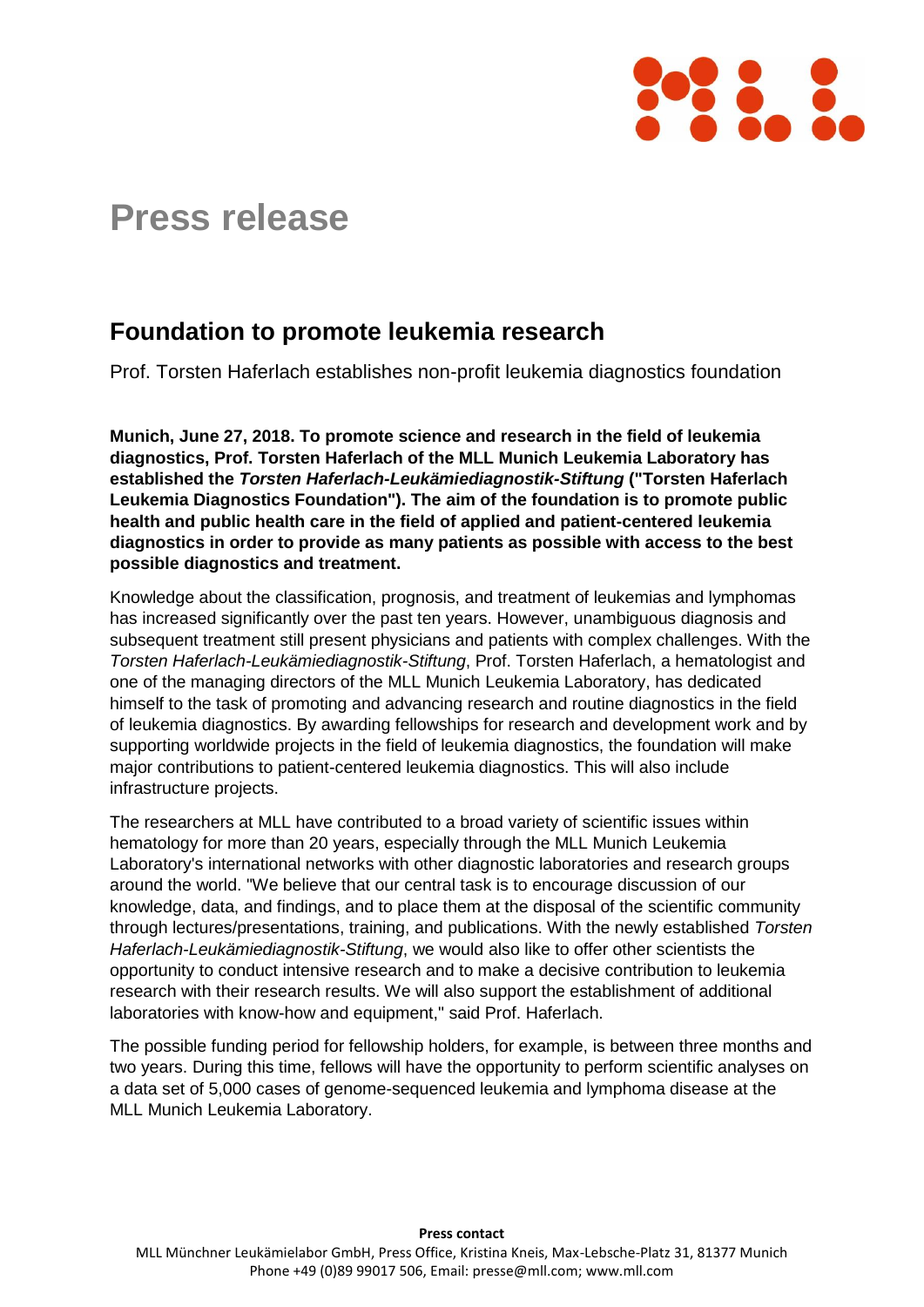

## **Press release**

## **Foundation to promote leukemia research**

Prof. Torsten Haferlach establishes non-profit leukemia diagnostics foundation

**Munich, June 27, 2018. To promote science and research in the field of leukemia diagnostics, Prof. Torsten Haferlach of the MLL Munich Leukemia Laboratory has established the** *Torsten Haferlach-Leukämiediagnostik-Stiftung* **("Torsten Haferlach Leukemia Diagnostics Foundation"). The aim of the foundation is to promote public health and public health care in the field of applied and patient-centered leukemia diagnostics in order to provide as many patients as possible with access to the best possible diagnostics and treatment.** 

Knowledge about the classification, prognosis, and treatment of leukemias and lymphomas has increased significantly over the past ten years. However, unambiguous diagnosis and subsequent treatment still present physicians and patients with complex challenges. With the *Torsten Haferlach-Leukämiediagnostik-Stiftung*, Prof. Torsten Haferlach, a hematologist and one of the managing directors of the MLL Munich Leukemia Laboratory, has dedicated himself to the task of promoting and advancing research and routine diagnostics in the field of leukemia diagnostics. By awarding fellowships for research and development work and by supporting worldwide projects in the field of leukemia diagnostics, the foundation will make major contributions to patient-centered leukemia diagnostics. This will also include infrastructure projects.

The researchers at MLL have contributed to a broad variety of scientific issues within hematology for more than 20 years, especially through the MLL Munich Leukemia Laboratory's international networks with other diagnostic laboratories and research groups around the world. "We believe that our central task is to encourage discussion of our knowledge, data, and findings, and to place them at the disposal of the scientific community through lectures/presentations, training, and publications. With the newly established *Torsten Haferlach-Leukämiediagnostik-Stiftung*, we would also like to offer other scientists the opportunity to conduct intensive research and to make a decisive contribution to leukemia research with their research results. We will also support the establishment of additional laboratories with know-how and equipment," said Prof. Haferlach.

The possible funding period for fellowship holders, for example, is between three months and two years. During this time, fellows will have the opportunity to perform scientific analyses on a data set of 5,000 cases of genome-sequenced leukemia and lymphoma disease at the MLL Munich Leukemia Laboratory.